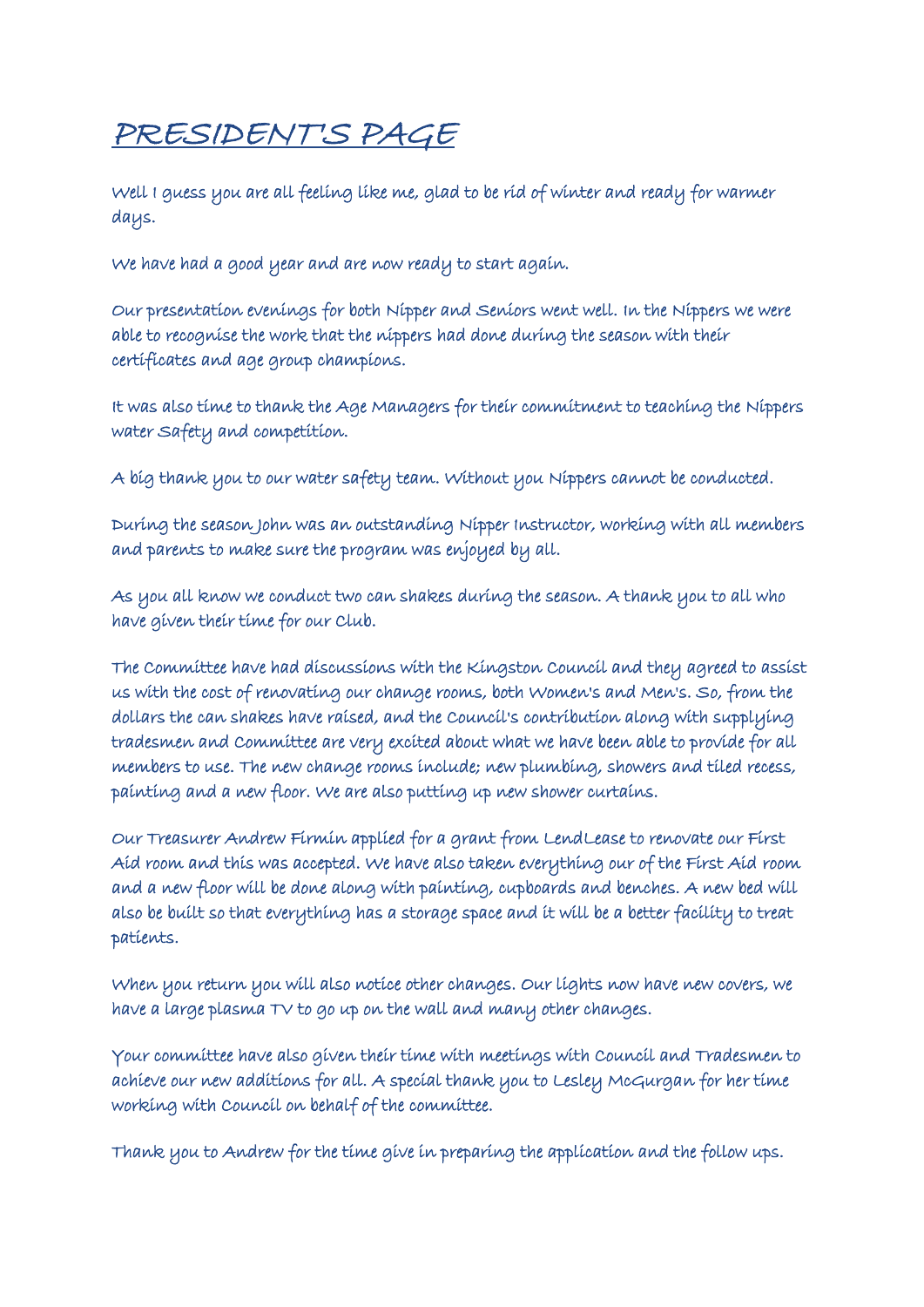## PRESIDENT'S PAGE

Well I guess you are all feeling like me, glad to be rid of winter and ready for warmer days.

We have had a good year and are now ready to start again.

Our presentation evenings for both Nipper and Seniors went well. In the Nippers we were able to recognise the work that the nippers had done during the season with their certificates and age group champions.

It was also time to thank the Age Managers for their commitment to teaching the Nippers water Safety and competition.

A big thank you to our water safety team. Without you Nippers cannot be conducted.

During the season John was an outstanding Nipper Instructor, working with all members and parents to make sure the program was enjoyed by all.

As you all know we conduct two can shakes during the season. A thank you to all who have given their time for our Club.

The Committee have had discussions with the Kingston Council and they agreed to assist us with the cost of renovating our change rooms, both Women's and Men's. So, from the dollars the can shakes have raised, and the Council's contribution along with supplying tradesmen and Committee are very excited about what we have been able to provide for all members to use. The new change rooms include; new plumbing, showers and tiled recess, painting and a new floor. We are also putting up new shower curtains.

Our Treasurer Andrew Firmin applied for a grant from LendLease to renovate our First Aid room and this was accepted. We have also taken everything our of the First Aid room and a new floor will be done along with painting, cupboards and benches. A new bed will also be built so that everything has a storage space and it will be a better facility to treat patients.

When you return you will also notice other changes. Our lights now have new covers, we have a large plasma TV to go up on the wall and many other changes.

Your committee have also given their time with meetings with Council and Tradesmen to achieve our new additions for all. A special thank you to Lesley McGurgan for her time working with Council on behalf of the committee.

Thank you to Andrew for the time give in preparing the application and the follow ups.